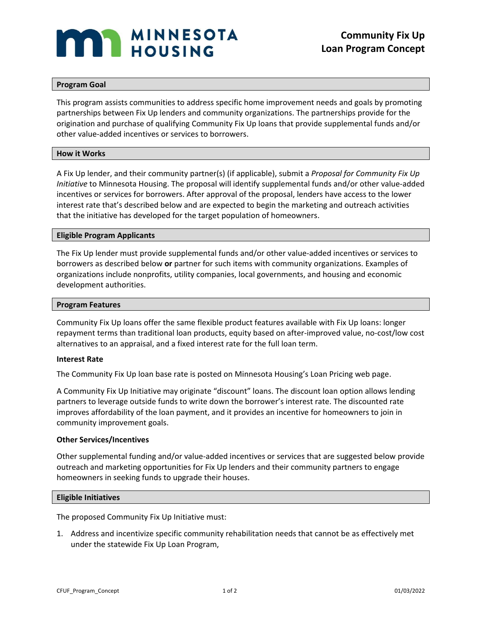# **MINNESOTA HOUSING**

# **Program Goal**

This program assists communities to address specific home improvement needs and goals by promoting partnerships between Fix Up lenders and community organizations. The partnerships provide for the origination and purchase of qualifying Community Fix Up loans that provide supplemental funds and/or other value-added incentives or services to borrowers.

## **How it Works**

A Fix Up lender, and their community partner(s) (if applicable), submit a *Proposal for Community Fix Up Initiative* to Minnesota Housing. The proposal will identify supplemental funds and/or other value-added incentives or services for borrowers. After approval of the proposal, lenders have access to the lower interest rate that's described below and are expected to begin the marketing and outreach activities that the initiative has developed for the target population of homeowners.

## **Eligible Program Applicants**

The Fix Up lender must provide supplemental funds and/or other value-added incentives or services to borrowers as described below **or** partner for such items with community organizations. Examples of organizations include nonprofits, utility companies, local governments, and housing and economic development authorities.

#### **Program Features**

Community Fix Up loans offer the same flexible product features available with Fix Up loans: longer repayment terms than traditional loan products, equity based on after-improved value, no-cost/low cost alternatives to an appraisal, and a fixed interest rate for the full loan term.

# **Interest Rate**

The Community Fix Up loan base rate is posted on Minnesota Housing's Loan Pricing web page.

A Community Fix Up Initiative may originate "discount" loans. The discount loan option allows lending partners to leverage outside funds to write down the borrower's interest rate. The discounted rate improves affordability of the loan payment, and it provides an incentive for homeowners to join in community improvement goals.

# **Other Services/Incentives**

Other supplemental funding and/or value-added incentives or services that are suggested below provide outreach and marketing opportunities for Fix Up lenders and their community partners to engage homeowners in seeking funds to upgrade their houses.

#### **Eligible Initiatives**

The proposed Community Fix Up Initiative must:

1. Address and incentivize specific community rehabilitation needs that cannot be as effectively met under the statewide Fix Up Loan Program,